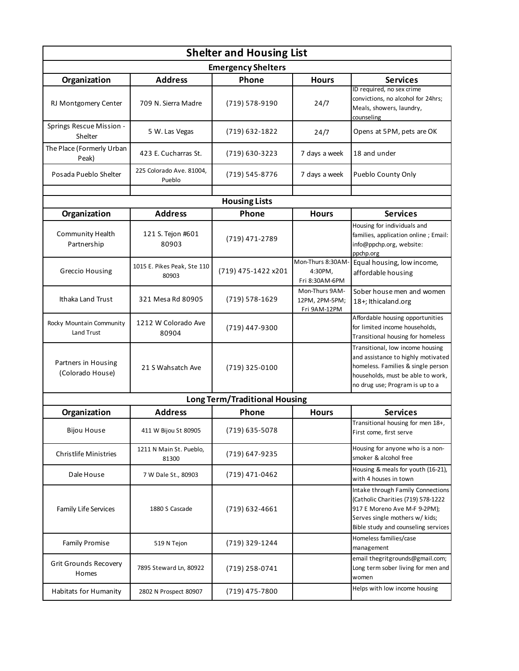| <b>Shelter and Housing List</b>         |                                      |                     |                                                  |                                                                                                                                                                                      |  |  |  |
|-----------------------------------------|--------------------------------------|---------------------|--------------------------------------------------|--------------------------------------------------------------------------------------------------------------------------------------------------------------------------------------|--|--|--|
| <b>Emergency Shelters</b>               |                                      |                     |                                                  |                                                                                                                                                                                      |  |  |  |
| Organization                            | <b>Address</b>                       | Phone               | <b>Hours</b>                                     | <b>Services</b>                                                                                                                                                                      |  |  |  |
| RJ Montgomery Center                    | 709 N. Sierra Madre                  | (719) 578-9190      | 24/7                                             | ID required, no sex crime<br>convictions, no alcohol for 24hrs;<br>Meals, showers, laundry,<br>counseling                                                                            |  |  |  |
| Springs Rescue Mission -<br>Shelter     | 5 W. Las Vegas                       | (719) 632-1822      | 24/7                                             | Opens at 5PM, pets are OK                                                                                                                                                            |  |  |  |
| The Place (Formerly Urban<br>Peak)      | 423 E. Cucharras St.                 | (719) 630-3223      | 7 days a week                                    | 18 and under                                                                                                                                                                         |  |  |  |
| Posada Pueblo Shelter                   | 225 Colorado Ave. 81004,<br>Pueblo   | (719) 545-8776      | 7 days a week                                    | Pueblo County Only                                                                                                                                                                   |  |  |  |
| <b>Housing Lists</b>                    |                                      |                     |                                                  |                                                                                                                                                                                      |  |  |  |
| Organization                            | <b>Address</b>                       | Phone               | <b>Hours</b>                                     | <b>Services</b>                                                                                                                                                                      |  |  |  |
| Community Health<br>Partnership         | 121 S. Tejon #601<br>80903           | (719) 471-2789      |                                                  | Housing for individuals and<br>families, application online; Email:<br>info@ppchp.org, website:<br>ppchp.org                                                                         |  |  |  |
| Greccio Housing                         | 1015 E. Pikes Peak, Ste 110<br>80903 | (719) 475-1422 x201 | Mon-Thurs 8:30AM-<br>4:30PM,<br>Fri 8:30AM-6PM   | Equal housing, low income,<br>affordable housing                                                                                                                                     |  |  |  |
| Ithaka Land Trust                       | 321 Mesa Rd 80905                    | (719) 578-1629      | Mon-Thurs 9AM-<br>12PM, 2PM-5PM;<br>Fri 9AM-12PM | Sober house men and women<br>18+; Ithicaland.org                                                                                                                                     |  |  |  |
| Rocky Mountain Community<br>Land Trust  | 1212 W Colorado Ave<br>80904         | (719) 447-9300      |                                                  | Affordable housing opportunities<br>for limited income households,<br>Transitional housing for homeless                                                                              |  |  |  |
| Partners in Housing<br>(Colorado House) | 21 S Wahsatch Ave                    | (719) 325-0100      |                                                  | Transitional, low income housing<br>and assistance to highly motivated<br>homeless. Families & single person<br>households, must be able to work,<br>no drug use; Program is up to a |  |  |  |
| <b>Long Term/Traditional Housing</b>    |                                      |                     |                                                  |                                                                                                                                                                                      |  |  |  |
| Organization                            | <b>Address</b>                       | Phone               | <b>Hours</b>                                     | <b>Services</b>                                                                                                                                                                      |  |  |  |
| <b>Bijou House</b>                      | 411 W Bijou St 80905                 | (719) 635-5078      |                                                  | Transitional housing for men 18+,<br>First come, first serve                                                                                                                         |  |  |  |
| <b>Christlife Ministries</b>            | 1211 N Main St. Pueblo,<br>81300     | (719) 647-9235      |                                                  | Housing for anyone who is a non-<br>smoker & alcohol free                                                                                                                            |  |  |  |
| Dale House                              | 7 W Dale St., 80903                  | (719) 471-0462      |                                                  | Housing & meals for youth (16-21),<br>with 4 houses in town                                                                                                                          |  |  |  |
| Family Life Services                    | 1880 S Cascade                       | $(719)$ 632-4661    |                                                  | Intake through Family Connections<br>(Catholic Charities (719) 578-1222<br>917 E Moreno Ave M-F 9-2PM);<br>Serves single mothers w/ kids;<br>Bible study and counseling services     |  |  |  |
| <b>Family Promise</b>                   | 519 N Tejon                          | (719) 329-1244      |                                                  | Homeless families/case<br>management                                                                                                                                                 |  |  |  |
| Grit Grounds Recovery<br>Homes          | 7895 Steward Ln, 80922               | (719) 258-0741      |                                                  | email thegritgrounds@gmail.com;<br>Long term sober living for men and<br>women                                                                                                       |  |  |  |
| Habitats for Humanity                   | 2802 N Prospect 80907                | (719) 475-7800      |                                                  | Helps with low income housing                                                                                                                                                        |  |  |  |